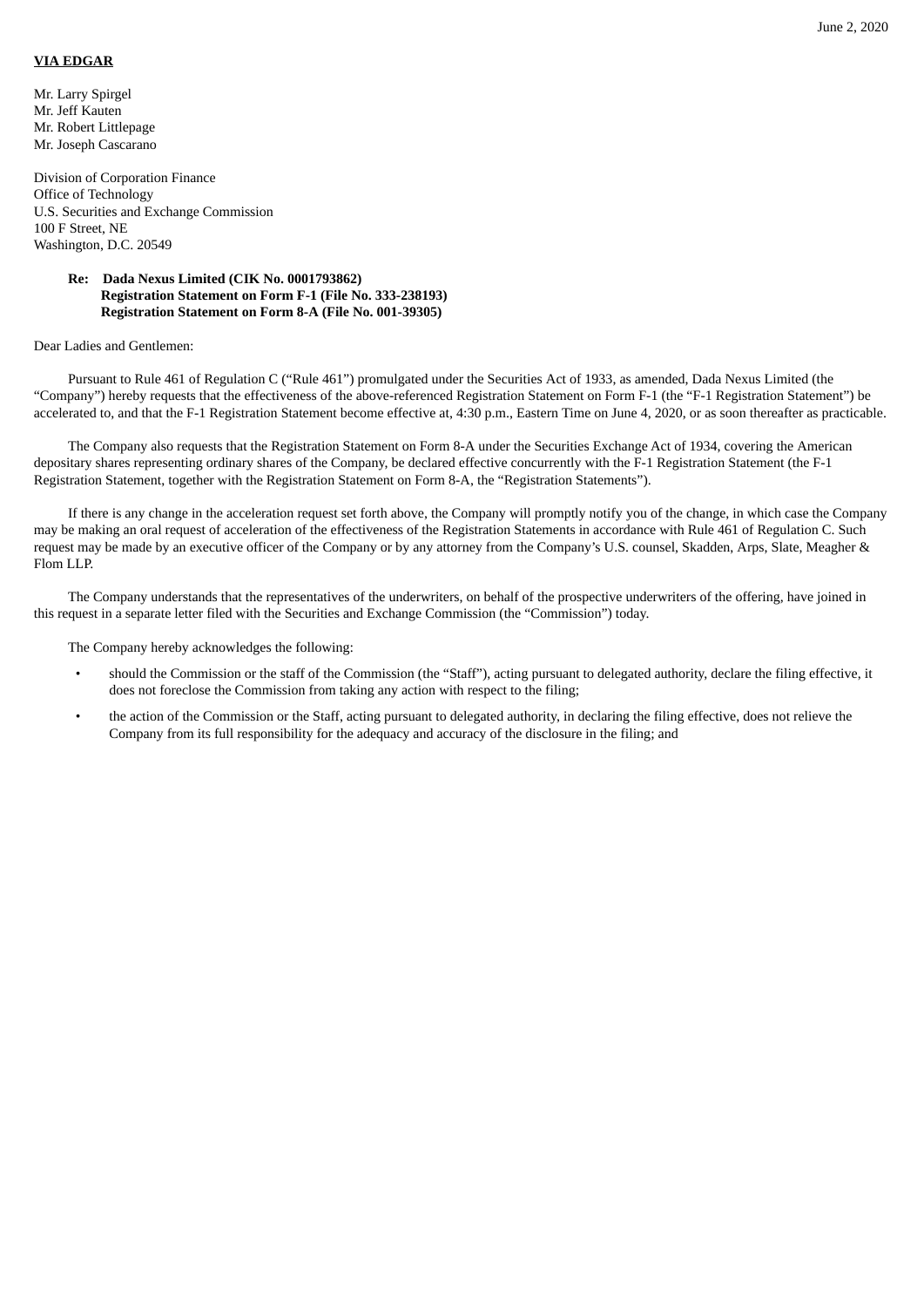## **VIA EDGAR**

Mr. Larry Spirgel Mr. Jeff Kauten Mr. Robert Littlepage Mr. Joseph Cascarano

Division of Corporation Finance Office of Technology U.S. Securities and Exchange Commission 100 F Street, NE Washington, D.C. 20549

## **Re: Dada Nexus Limited (CIK No. 0001793862) Registration Statement on Form F-1 (File No. 333-238193) Registration Statement on Form 8-A (File No. 001-39305)**

## Dear Ladies and Gentlemen:

Pursuant to Rule 461 of Regulation C ("Rule 461") promulgated under the Securities Act of 1933, as amended, Dada Nexus Limited (the "Company") hereby requests that the effectiveness of the above-referenced Registration Statement on Form F-1 (the "F-1 Registration Statement") be accelerated to, and that the F-1 Registration Statement become effective at, 4:30 p.m., Eastern Time on June 4, 2020, or as soon thereafter as practicable.

The Company also requests that the Registration Statement on Form 8-A under the Securities Exchange Act of 1934, covering the American depositary shares representing ordinary shares of the Company, be declared effective concurrently with the F-1 Registration Statement (the F-1 Registration Statement, together with the Registration Statement on Form 8-A, the "Registration Statements").

If there is any change in the acceleration request set forth above, the Company will promptly notify you of the change, in which case the Company may be making an oral request of acceleration of the effectiveness of the Registration Statements in accordance with Rule 461 of Regulation C. Such request may be made by an executive officer of the Company or by any attorney from the Company's U.S. counsel, Skadden, Arps, Slate, Meagher & Flom LLP.

The Company understands that the representatives of the underwriters, on behalf of the prospective underwriters of the offering, have joined in this request in a separate letter filed with the Securities and Exchange Commission (the "Commission") today.

The Company hereby acknowledges the following:

- should the Commission or the staff of the Commission (the "Staff"), acting pursuant to delegated authority, declare the filing effective, it does not foreclose the Commission from taking any action with respect to the filing;
- the action of the Commission or the Staff, acting pursuant to delegated authority, in declaring the filing effective, does not relieve the Company from its full responsibility for the adequacy and accuracy of the disclosure in the filing; and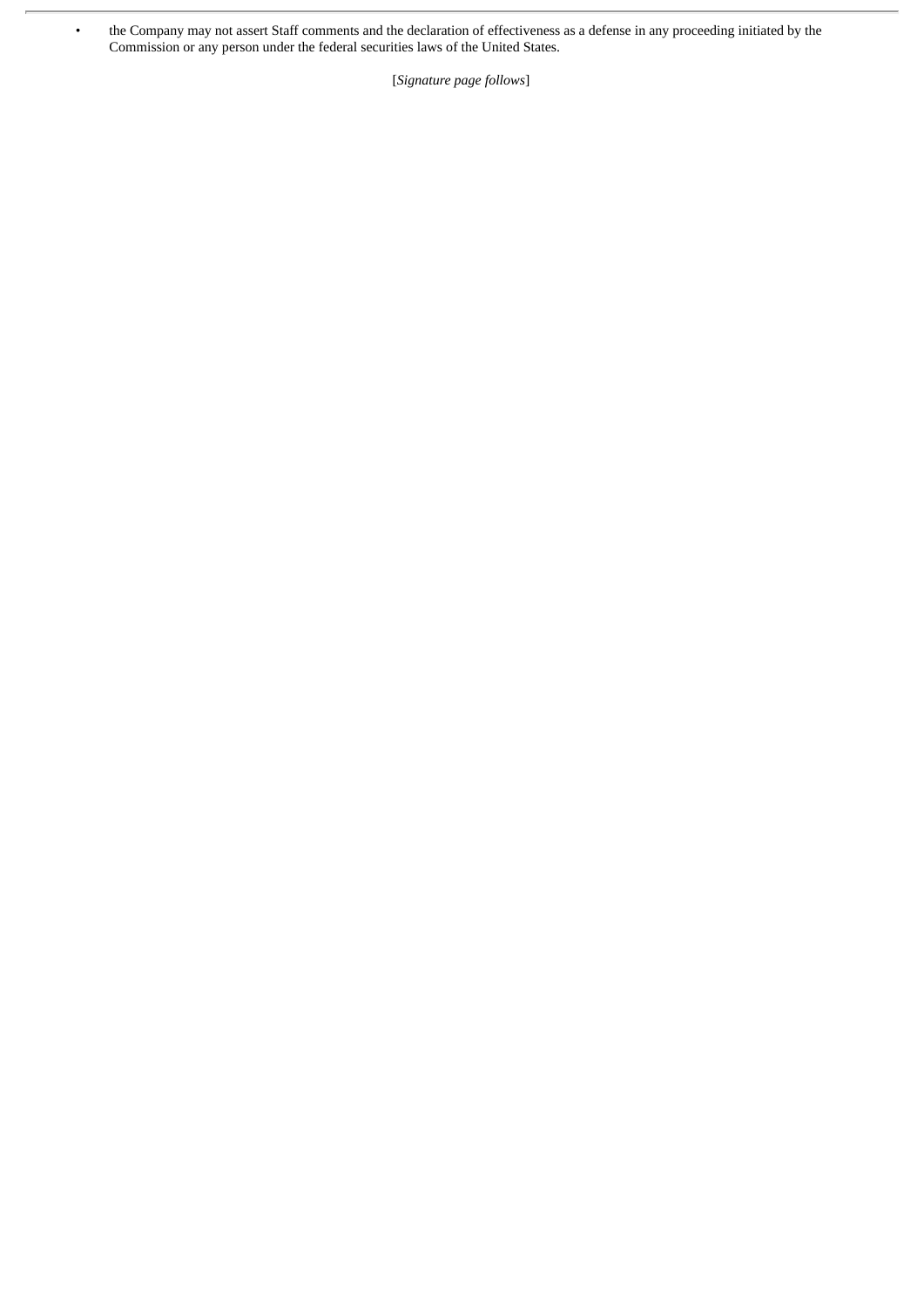• the Company may not assert Staff comments and the declaration of effectiveness as a defense in any proceeding initiated by the Commission or any person under the federal securities laws of the United States.

[*Signature page follows*]